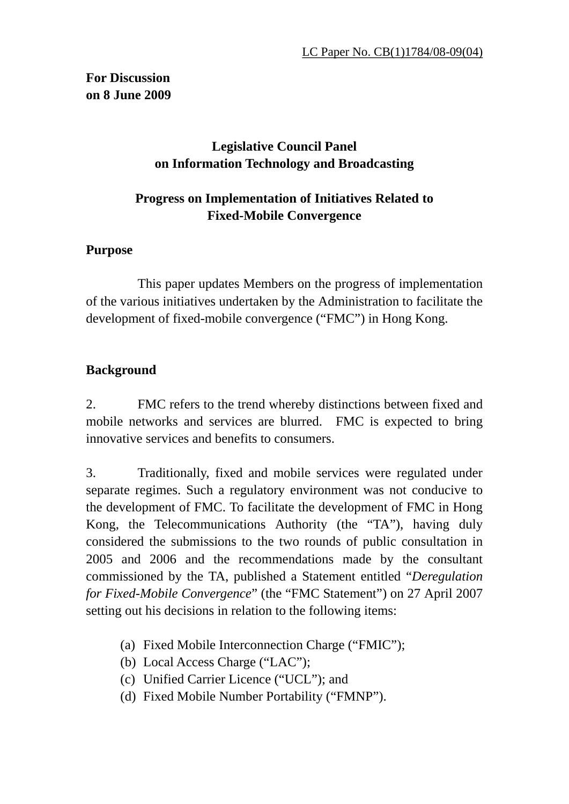# **Legislative Council Panel on Information Technology and Broadcasting**

# **Progress on Implementation of Initiatives Related to Fixed-Mobile Convergence**

### **Purpose**

 This paper updates Members on the progress of implementation of the various initiatives undertaken by the Administration to facilitate the development of fixed-mobile convergence ("FMC") in Hong Kong.

# **Background**

2. FMC refers to the trend whereby distinctions between fixed and mobile networks and services are blurred. FMC is expected to bring innovative services and benefits to consumers.

3. Traditionally, fixed and mobile services were regulated under separate regimes. Such a regulatory environment was not conducive to the development of FMC. To facilitate the development of FMC in Hong Kong, the Telecommunications Authority (the "TA"), having duly considered the submissions to the two rounds of public consultation in 2005 and 2006 and the recommendations made by the consultant commissioned by the TA, published a Statement entitled "*Deregulation for Fixed-Mobile Convergence*" (the "FMC Statement") on 27 April 2007 setting out his decisions in relation to the following items:

- (a) Fixed Mobile Interconnection Charge ("FMIC");
- (b) Local Access Charge ("LAC");
- (c) Unified Carrier Licence ("UCL"); and
- (d) Fixed Mobile Number Portability ("FMNP").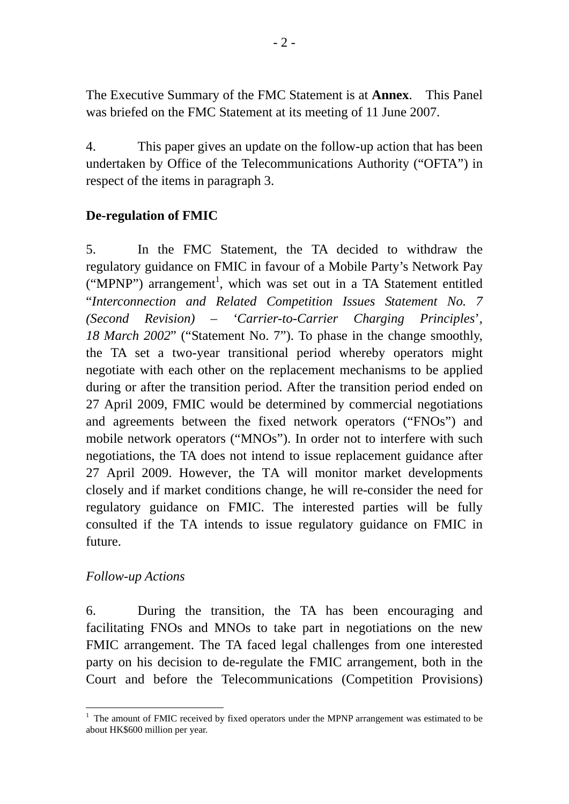The Executive Summary of the FMC Statement is at **Annex**. This Panel was briefed on the FMC Statement at its meeting of 11 June 2007.

4. This paper gives an update on the follow-up action that has been undertaken by Office of the Telecommunications Authority ("OFTA") in respect of the items in paragraph 3.

# **De-regulation of FMIC**

5. In the FMC Statement, the TA decided to withdraw the regulatory guidance on FMIC in favour of a Mobile Party's Network Pay ("MPNP") arrangement<sup>1</sup>, which was set out in a TA Statement entitled "*Interconnection and Related Competition Issues Statement No. 7 (Second Revision) – 'Carrier-to-Carrier Charging Principles*', *18 March 2002*" ("Statement No. 7"). To phase in the change smoothly, the TA set a two-year transitional period whereby operators might negotiate with each other on the replacement mechanisms to be applied during or after the transition period. After the transition period ended on 27 April 2009, FMIC would be determined by commercial negotiations and agreements between the fixed network operators ("FNOs") and mobile network operators ("MNOs"). In order not to interfere with such negotiations, the TA does not intend to issue replacement guidance after 27 April 2009. However, the TA will monitor market developments closely and if market conditions change, he will re-consider the need for regulatory guidance on FMIC. The interested parties will be fully consulted if the TA intends to issue regulatory guidance on FMIC in future.

### *Follow-up Actions*

6. During the transition, the TA has been encouraging and facilitating FNOs and MNOs to take part in negotiations on the new FMIC arrangement. The TA faced legal challenges from one interested party on his decision to de-regulate the FMIC arrangement, both in the Court and before the Telecommunications (Competition Provisions)

<sup>&</sup>lt;u>.</u>  $1$  The amount of FMIC received by fixed operators under the MPNP arrangement was estimated to be about HK\$600 million per year.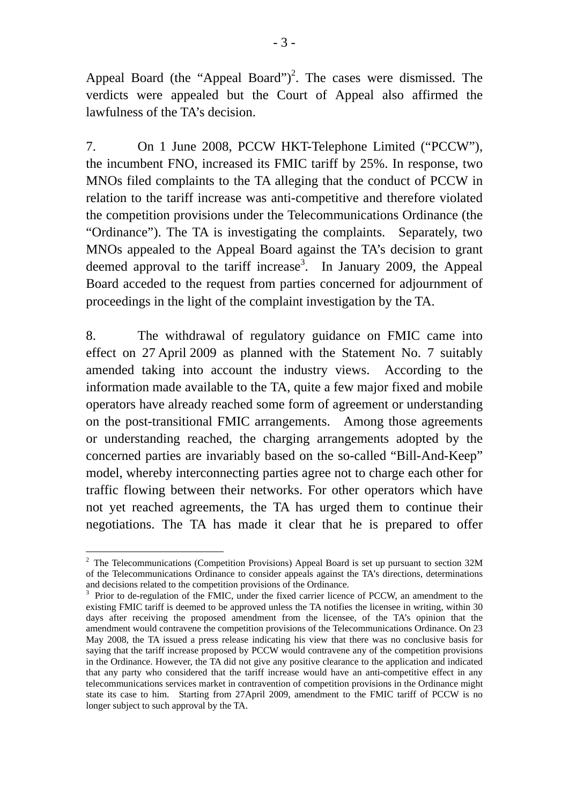Appeal Board (the "Appeal Board")<sup>2</sup>. The cases were dismissed. The verdicts were appealed but the Court of Appeal also affirmed the lawfulness of the TA's decision.

7. On 1 June 2008, PCCW HKT-Telephone Limited ("PCCW"), the incumbent FNO, increased its FMIC tariff by 25%. In response, two MNOs filed complaints to the TA alleging that the conduct of PCCW in relation to the tariff increase was anti-competitive and therefore violated the competition provisions under the Telecommunications Ordinance (the "Ordinance"). The TA is investigating the complaints. Separately, two MNOs appealed to the Appeal Board against the TA's decision to grant deemed approval to the tariff increase<sup>3</sup>. In January 2009, the Appeal Board acceded to the request from parties concerned for adjournment of proceedings in the light of the complaint investigation by the TA.

8. The withdrawal of regulatory guidance on FMIC came into effect on 27 April 2009 as planned with the Statement No. 7 suitably amended taking into account the industry views. According to the information made available to the TA, quite a few major fixed and mobile operators have already reached some form of agreement or understanding on the post-transitional FMIC arrangements. Among those agreements or understanding reached, the charging arrangements adopted by the concerned parties are invariably based on the so-called "Bill-And-Keep" model, whereby interconnecting parties agree not to charge each other for traffic flowing between their networks. For other operators which have not yet reached agreements, the TA has urged them to continue their negotiations. The TA has made it clear that he is prepared to offer

1

<sup>&</sup>lt;sup>2</sup> The Telecommunications (Competition Provisions) Appeal Board is set up pursuant to section  $32M$ of the Telecommunications Ordinance to consider appeals against the TA's directions, determinations and decisions related to the competition provisions of the Ordinance.

<sup>&</sup>lt;sup>3</sup> Prior to de-regulation of the FMIC, under the fixed carrier licence of PCCW, an amendment to the existing FMIC tariff is deemed to be approved unless the TA notifies the licensee in writing, within 30 days after receiving the proposed amendment from the licensee, of the TA's opinion that the amendment would contravene the competition provisions of the Telecommunications Ordinance. On 23 May 2008, the TA issued a press release indicating his view that there was no conclusive basis for saying that the tariff increase proposed by PCCW would contravene any of the competition provisions in the Ordinance. However, the TA did not give any positive clearance to the application and indicated that any party who considered that the tariff increase would have an anti-competitive effect in any telecommunications services market in contravention of competition provisions in the Ordinance might state its case to him. Starting from 27April 2009, amendment to the FMIC tariff of PCCW is no longer subject to such approval by the TA.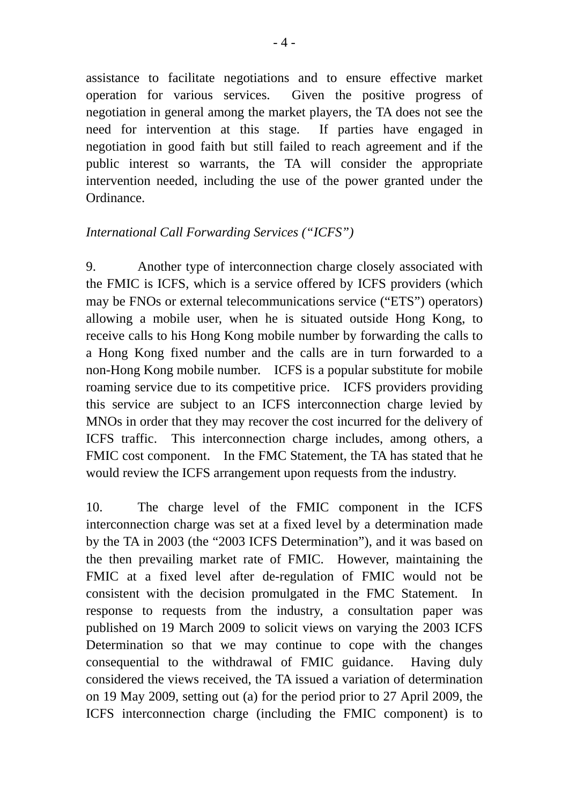assistance to facilitate negotiations and to ensure effective market operation for various services. Given the positive progress of negotiation in general among the market players, the TA does not see the need for intervention at this stage. If parties have engaged in negotiation in good faith but still failed to reach agreement and if the public interest so warrants, the TA will consider the appropriate intervention needed, including the use of the power granted under the Ordinance.

### *International Call Forwarding Services ("ICFS")*

9. Another type of interconnection charge closely associated with the FMIC is ICFS, which is a service offered by ICFS providers (which may be FNOs or external telecommunications service ("ETS") operators) allowing a mobile user, when he is situated outside Hong Kong, to receive calls to his Hong Kong mobile number by forwarding the calls to a Hong Kong fixed number and the calls are in turn forwarded to a non-Hong Kong mobile number. ICFS is a popular substitute for mobile roaming service due to its competitive price. ICFS providers providing this service are subject to an ICFS interconnection charge levied by MNOs in order that they may recover the cost incurred for the delivery of ICFS traffic. This interconnection charge includes, among others, a FMIC cost component. In the FMC Statement, the TA has stated that he would review the ICFS arrangement upon requests from the industry.

10. The charge level of the FMIC component in the ICFS interconnection charge was set at a fixed level by a determination made by the TA in 2003 (the "2003 ICFS Determination"), and it was based on the then prevailing market rate of FMIC. However, maintaining the FMIC at a fixed level after de-regulation of FMIC would not be consistent with the decision promulgated in the FMC Statement. In response to requests from the industry, a consultation paper was published on 19 March 2009 to solicit views on varying the 2003 ICFS Determination so that we may continue to cope with the changes consequential to the withdrawal of FMIC guidance. Having duly considered the views received, the TA issued a variation of determination on 19 May 2009, setting out (a) for the period prior to 27 April 2009, the ICFS interconnection charge (including the FMIC component) is to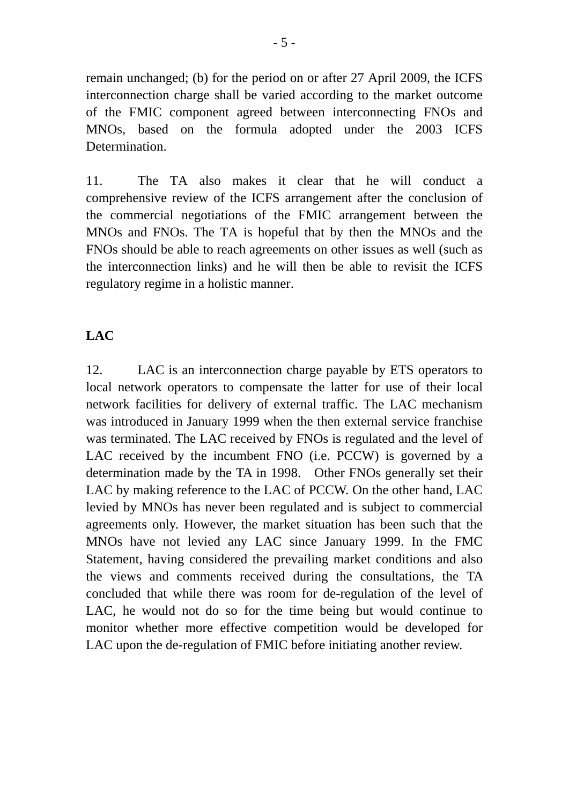remain unchanged; (b) for the period on or after 27 April 2009, the ICFS interconnection charge shall be varied according to the market outcome of the FMIC component agreed between interconnecting FNOs and MNOs, based on the formula adopted under the 2003 ICFS Determination.

11. The TA also makes it clear that he will conduct a comprehensive review of the ICFS arrangement after the conclusion of the commercial negotiations of the FMIC arrangement between the MNOs and FNOs. The TA is hopeful that by then the MNOs and the FNOs should be able to reach agreements on other issues as well (such as the interconnection links) and he will then be able to revisit the ICFS regulatory regime in a holistic manner.

### **LAC**

12. LAC is an interconnection charge payable by ETS operators to local network operators to compensate the latter for use of their local network facilities for delivery of external traffic. The LAC mechanism was introduced in January 1999 when the then external service franchise was terminated. The LAC received by FNOs is regulated and the level of LAC received by the incumbent FNO (i.e. PCCW) is governed by a determination made by the TA in 1998. Other FNOs generally set their LAC by making reference to the LAC of PCCW. On the other hand, LAC levied by MNOs has never been regulated and is subject to commercial agreements only. However, the market situation has been such that the MNOs have not levied any LAC since January 1999. In the FMC Statement, having considered the prevailing market conditions and also the views and comments received during the consultations, the TA concluded that while there was room for de-regulation of the level of LAC, he would not do so for the time being but would continue to monitor whether more effective competition would be developed for LAC upon the de-regulation of FMIC before initiating another review.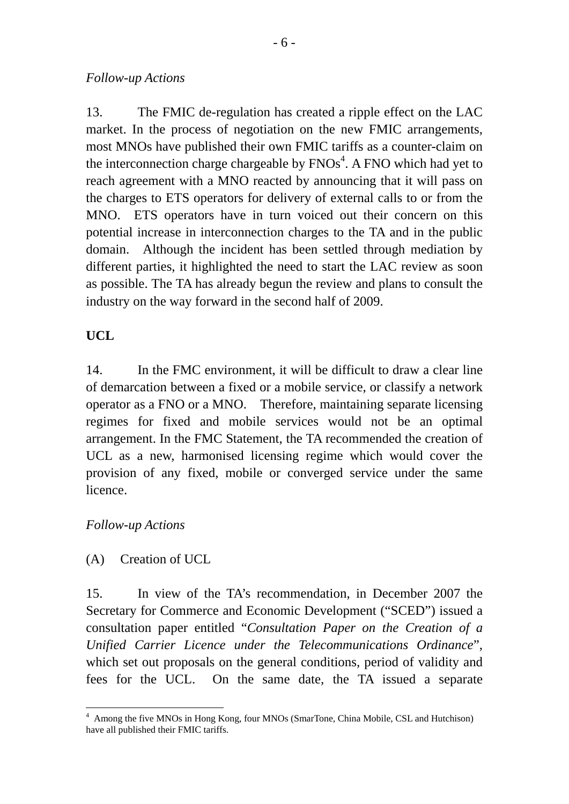### *Follow-up Actions*

13. The FMIC de-regulation has created a ripple effect on the LAC market. In the process of negotiation on the new FMIC arrangements, most MNOs have published their own FMIC tariffs as a counter-claim on the interconnection charge chargeable by  $FNOs<sup>4</sup>$ . A FNO which had yet to reach agreement with a MNO reacted by announcing that it will pass on the charges to ETS operators for delivery of external calls to or from the MNO. ETS operators have in turn voiced out their concern on this potential increase in interconnection charges to the TA and in the public domain. Although the incident has been settled through mediation by different parties, it highlighted the need to start the LAC review as soon as possible. The TA has already begun the review and plans to consult the industry on the way forward in the second half of 2009.

# **UCL**

14. In the FMC environment, it will be difficult to draw a clear line of demarcation between a fixed or a mobile service, or classify a network operator as a FNO or a MNO. Therefore, maintaining separate licensing regimes for fixed and mobile services would not be an optimal arrangement. In the FMC Statement, the TA recommended the creation of UCL as a new, harmonised licensing regime which would cover the provision of any fixed, mobile or converged service under the same licence.

### *Follow-up Actions*

(A) Creation of UCL

15. In view of the TA's recommendation, in December 2007 the Secretary for Commerce and Economic Development ("SCED") issued a consultation paper entitled "*Consultation Paper on the Creation of a Unified Carrier Licence under the Telecommunications Ordinance*", which set out proposals on the general conditions, period of validity and fees for the UCL. On the same date, the TA issued a separate

<sup>&</sup>lt;u>.</u> <sup>4</sup> Among the five MNOs in Hong Kong, four MNOs (SmarTone, China Mobile, CSL and Hutchison) have all published their FMIC tariffs.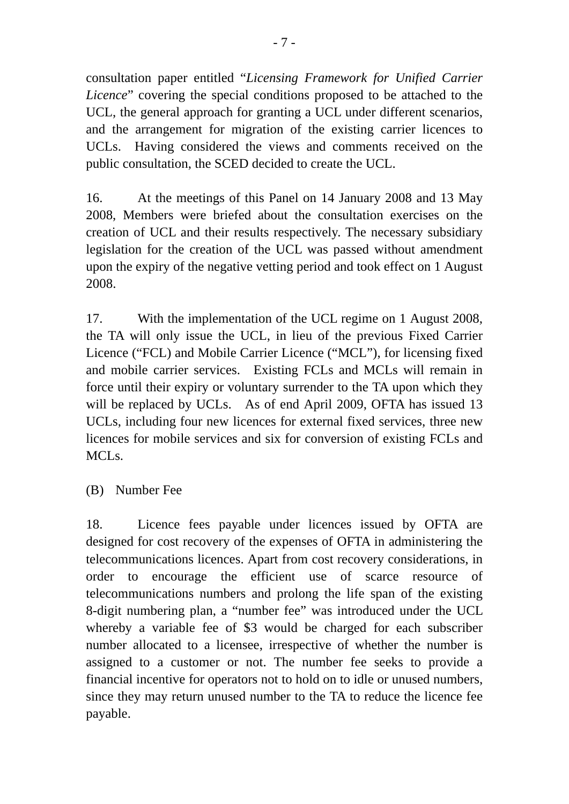consultation paper entitled "*Licensing Framework for Unified Carrier Licence*" covering the special conditions proposed to be attached to the UCL, the general approach for granting a UCL under different scenarios, and the arrangement for migration of the existing carrier licences to UCLs. Having considered the views and comments received on the public consultation, the SCED decided to create the UCL.

16. At the meetings of this Panel on 14 January 2008 and 13 May 2008, Members were briefed about the consultation exercises on the creation of UCL and their results respectively. The necessary subsidiary legislation for the creation of the UCL was passed without amendment upon the expiry of the negative vetting period and took effect on 1 August 2008.

17. With the implementation of the UCL regime on 1 August 2008, the TA will only issue the UCL, in lieu of the previous Fixed Carrier Licence ("FCL) and Mobile Carrier Licence ("MCL"), for licensing fixed and mobile carrier services. Existing FCLs and MCLs will remain in force until their expiry or voluntary surrender to the TA upon which they will be replaced by UCLs. As of end April 2009, OFTA has issued 13 UCLs, including four new licences for external fixed services, three new licences for mobile services and six for conversion of existing FCLs and MCL<sub>s</sub>.

(B) Number Fee

18. Licence fees payable under licences issued by OFTA are designed for cost recovery of the expenses of OFTA in administering the telecommunications licences. Apart from cost recovery considerations, in order to encourage the efficient use of scarce resource of telecommunications numbers and prolong the life span of the existing 8-digit numbering plan, a "number fee" was introduced under the UCL whereby a variable fee of \$3 would be charged for each subscriber number allocated to a licensee, irrespective of whether the number is assigned to a customer or not. The number fee seeks to provide a financial incentive for operators not to hold on to idle or unused numbers, since they may return unused number to the TA to reduce the licence fee payable.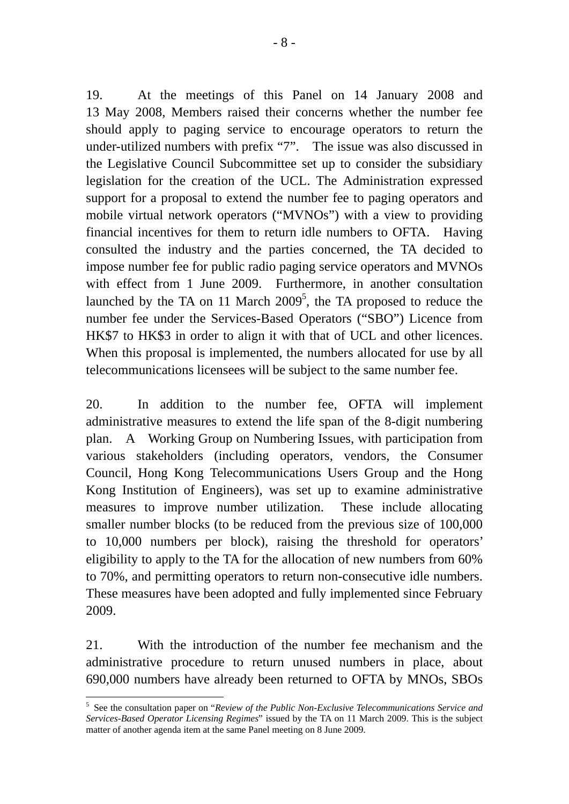19. At the meetings of this Panel on 14 January 2008 and 13 May 2008, Members raised their concerns whether the number fee should apply to paging service to encourage operators to return the under-utilized numbers with prefix "7". The issue was also discussed in the Legislative Council Subcommittee set up to consider the subsidiary legislation for the creation of the UCL. The Administration expressed support for a proposal to extend the number fee to paging operators and mobile virtual network operators ("MVNOs") with a view to providing financial incentives for them to return idle numbers to OFTA. Having consulted the industry and the parties concerned, the TA decided to impose number fee for public radio paging service operators and MVNOs with effect from 1 June 2009. Furthermore, in another consultation launched by the TA on 11 March  $2009^5$ , the TA proposed to reduce the number fee under the Services-Based Operators ("SBO") Licence from HK\$7 to HK\$3 in order to align it with that of UCL and other licences. When this proposal is implemented, the numbers allocated for use by all telecommunications licensees will be subject to the same number fee.

20. In addition to the number fee, OFTA will implement administrative measures to extend the life span of the 8-digit numbering plan. A Working Group on Numbering Issues, with participation from various stakeholders (including operators, vendors, the Consumer Council, Hong Kong Telecommunications Users Group and the Hong Kong Institution of Engineers), was set up to examine administrative measures to improve number utilization. These include allocating smaller number blocks (to be reduced from the previous size of 100,000 to 10,000 numbers per block), raising the threshold for operators' eligibility to apply to the TA for the allocation of new numbers from 60% to 70%, and permitting operators to return non-consecutive idle numbers. These measures have been adopted and fully implemented since February 2009.

21. With the introduction of the number fee mechanism and the administrative procedure to return unused numbers in place, about 690,000 numbers have already been returned to OFTA by MNOs, SBOs

1

<sup>5</sup> See the consultation paper on "*Review of the Public Non-Exclusive Telecommunications Service and Services-Based Operator Licensing Regimes*" issued by the TA on 11 March 2009. This is the subject matter of another agenda item at the same Panel meeting on 8 June 2009.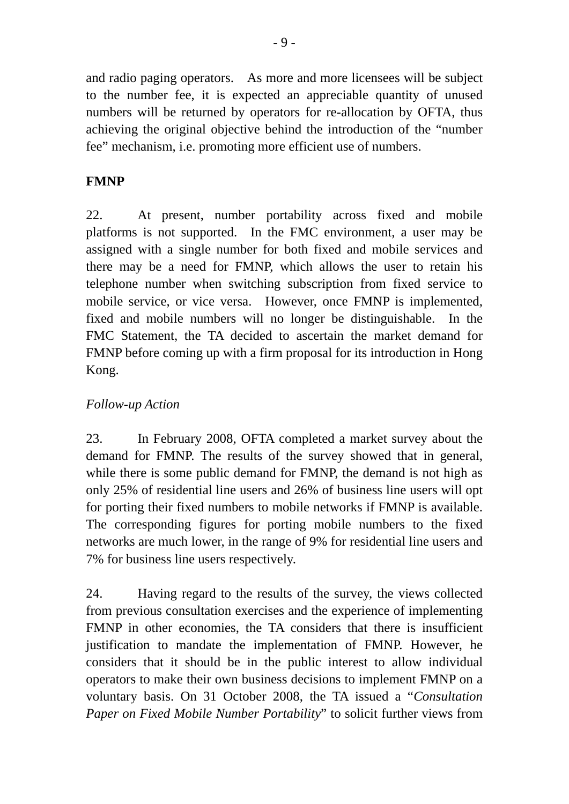and radio paging operators. As more and more licensees will be subject to the number fee, it is expected an appreciable quantity of unused numbers will be returned by operators for re-allocation by OFTA, thus achieving the original objective behind the introduction of the "number fee" mechanism, i.e. promoting more efficient use of numbers.

# **FMNP**

22. At present, number portability across fixed and mobile platforms is not supported. In the FMC environment, a user may be assigned with a single number for both fixed and mobile services and there may be a need for FMNP, which allows the user to retain his telephone number when switching subscription from fixed service to mobile service, or vice versa. However, once FMNP is implemented, fixed and mobile numbers will no longer be distinguishable. In the FMC Statement, the TA decided to ascertain the market demand for FMNP before coming up with a firm proposal for its introduction in Hong Kong.

# *Follow-up Action*

23. In February 2008, OFTA completed a market survey about the demand for FMNP. The results of the survey showed that in general, while there is some public demand for FMNP, the demand is not high as only 25% of residential line users and 26% of business line users will opt for porting their fixed numbers to mobile networks if FMNP is available. The corresponding figures for porting mobile numbers to the fixed networks are much lower, in the range of 9% for residential line users and 7% for business line users respectively.

24. Having regard to the results of the survey, the views collected from previous consultation exercises and the experience of implementing FMNP in other economies, the TA considers that there is insufficient justification to mandate the implementation of FMNP. However, he considers that it should be in the public interest to allow individual operators to make their own business decisions to implement FMNP on a voluntary basis. On 31 October 2008, the TA issued a "*Consultation Paper on Fixed Mobile Number Portability*" to solicit further views from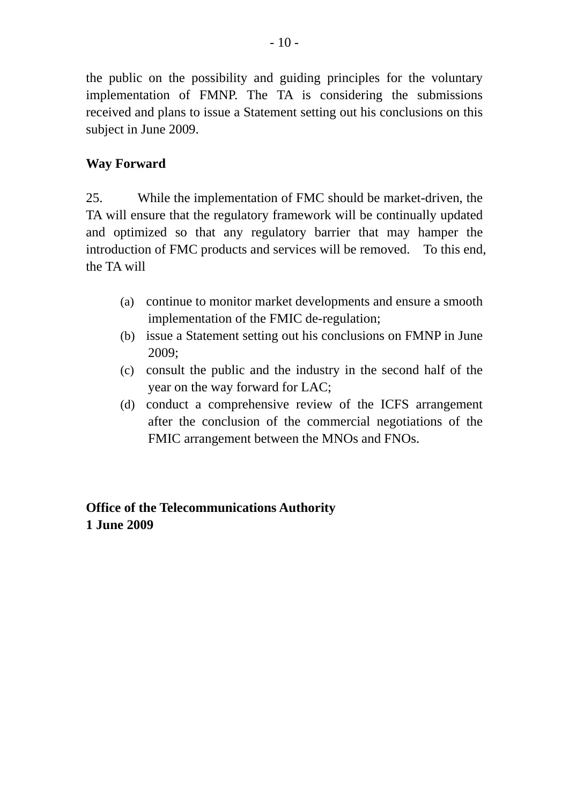the public on the possibility and guiding principles for the voluntary implementation of FMNP. The TA is considering the submissions received and plans to issue a Statement setting out his conclusions on this subject in June 2009.

## **Way Forward**

25. While the implementation of FMC should be market-driven, the TA will ensure that the regulatory framework will be continually updated and optimized so that any regulatory barrier that may hamper the introduction of FMC products and services will be removed. To this end, the TA will

- (a) continue to monitor market developments and ensure a smooth implementation of the FMIC de-regulation;
- (b) issue a Statement setting out his conclusions on FMNP in June 2009;
- (c) consult the public and the industry in the second half of the year on the way forward for LAC;
- (d) conduct a comprehensive review of the ICFS arrangement after the conclusion of the commercial negotiations of the FMIC arrangement between the MNOs and FNOs.

**Office of the Telecommunications Authority 1 June 2009**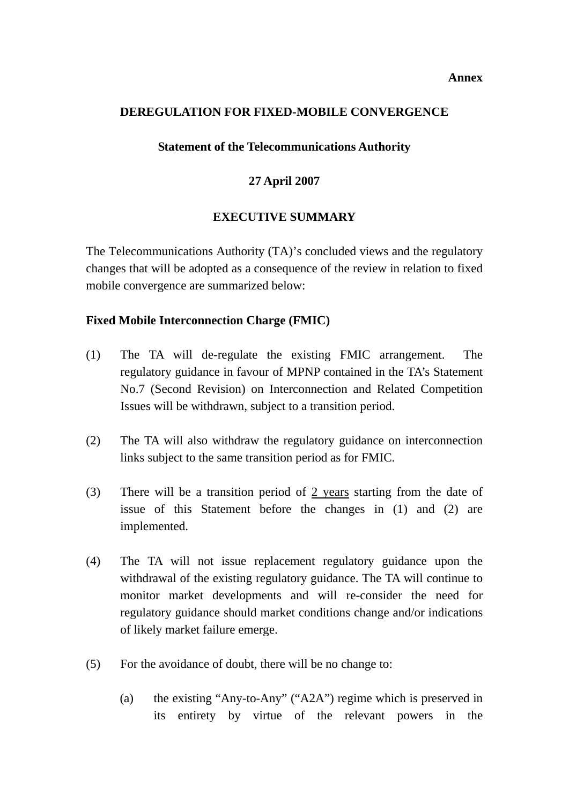#### **Annex**

#### **DEREGULATION FOR FIXED-MOBILE CONVERGENCE**

#### **Statement of the Telecommunications Authority**

### **27 April 2007**

### **EXECUTIVE SUMMARY**

The Telecommunications Authority (TA)'s concluded views and the regulatory changes that will be adopted as a consequence of the review in relation to fixed mobile convergence are summarized below:

### **Fixed Mobile Interconnection Charge (FMIC)**

- (1) The TA will de-regulate the existing FMIC arrangement. The regulatory guidance in favour of MPNP contained in the TA's Statement No.7 (Second Revision) on Interconnection and Related Competition Issues will be withdrawn, subject to a transition period.
- (2) The TA will also withdraw the regulatory guidance on interconnection links subject to the same transition period as for FMIC.
- (3) There will be a transition period of 2 years starting from the date of issue of this Statement before the changes in (1) and (2) are implemented.
- (4) The TA will not issue replacement regulatory guidance upon the withdrawal of the existing regulatory guidance. The TA will continue to monitor market developments and will re-consider the need for regulatory guidance should market conditions change and/or indications of likely market failure emerge.
- (5) For the avoidance of doubt, there will be no change to:
	- (a) the existing "Any-to-Any" ("A2A") regime which is preserved in its entirety by virtue of the relevant powers in the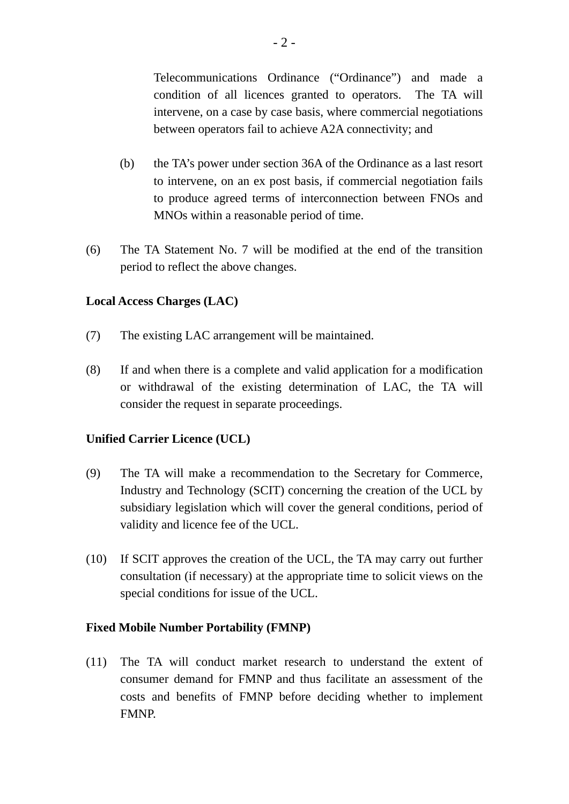Telecommunications Ordinance ("Ordinance") and made a condition of all licences granted to operators. The TA will intervene, on a case by case basis, where commercial negotiations between operators fail to achieve A2A connectivity; and

- (b) the TA's power under section 36A of the Ordinance as a last resort to intervene, on an ex post basis, if commercial negotiation fails to produce agreed terms of interconnection between FNOs and MNOs within a reasonable period of time.
- (6) The TA Statement No. 7 will be modified at the end of the transition period to reflect the above changes.

#### **Local Access Charges (LAC)**

- (7) The existing LAC arrangement will be maintained.
- (8) If and when there is a complete and valid application for a modification or withdrawal of the existing determination of LAC, the TA will consider the request in separate proceedings.

### **Unified Carrier Licence (UCL)**

- (9) The TA will make a recommendation to the Secretary for Commerce, Industry and Technology (SCIT) concerning the creation of the UCL by subsidiary legislation which will cover the general conditions, period of validity and licence fee of the UCL.
- (10) If SCIT approves the creation of the UCL, the TA may carry out further consultation (if necessary) at the appropriate time to solicit views on the special conditions for issue of the UCL.

### **Fixed Mobile Number Portability (FMNP)**

(11) The TA will conduct market research to understand the extent of consumer demand for FMNP and thus facilitate an assessment of the costs and benefits of FMNP before deciding whether to implement FMNP.